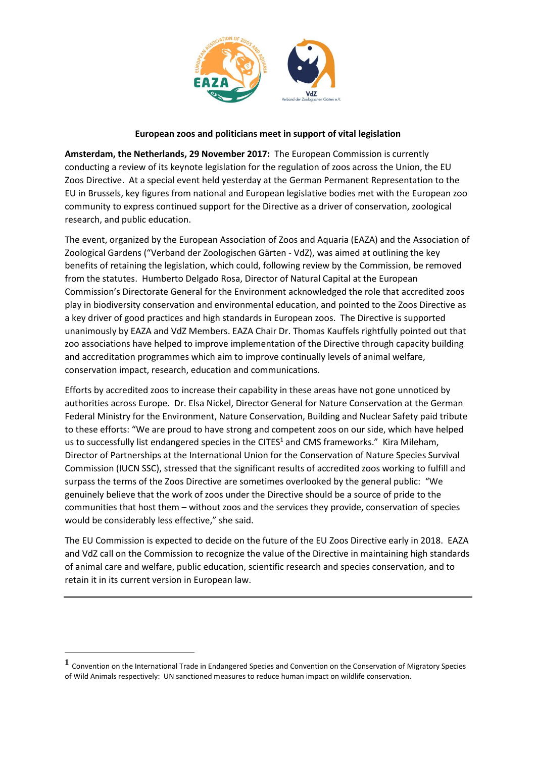

## **European zoos and politicians meet in support of vital legislation**

**Amsterdam, the Netherlands, 29 November 2017:** The European Commission is currently conducting a review of its keynote legislation for the regulation of zoos across the Union, the EU Zoos Directive. At a special event held yesterday at the German Permanent Representation to the EU in Brussels, key figures from national and European legislative bodies met with the European zoo community to express continued support for the Directive as a driver of conservation, zoological research, and public education.

The event, organized by the European Association of Zoos and Aquaria (EAZA) and the Association of Zoological Gardens ("Verband der Zoologischen Gärten - VdZ), was aimed at outlining the key benefits of retaining the legislation, which could, following review by the Commission, be removed from the statutes. Humberto Delgado Rosa, Director of Natural Capital at the European Commission's Directorate General for the Environment acknowledged the role that accredited zoos play in biodiversity conservation and environmental education, and pointed to the Zoos Directive as a key driver of good practices and high standards in European zoos. The Directive is supported unanimously by EAZA and VdZ Members. EAZA Chair Dr. Thomas Kauffels rightfully pointed out that zoo associations have helped to improve implementation of the Directive through capacity building and accreditation programmes which aim to improve continually levels of animal welfare, conservation impact, research, education and communications.

Efforts by accredited zoos to increase their capability in these areas have not gone unnoticed by authorities across Europe. Dr. Elsa Nickel, Director General for Nature Conservation at the German Federal Ministry for the Environment, Nature Conservation, Building and Nuclear Safety paid tribute to these efforts: "We are proud to have strong and competent zoos on our side, which have helped us to successfully list endangered species in the CITES<sup>1</sup> and CMS frameworks." Kira Mileham, Director of Partnerships at the International Union for the Conservation of Nature Species Survival Commission (IUCN SSC), stressed that the significant results of accredited zoos working to fulfill and surpass the terms of the Zoos Directive are sometimes overlooked by the general public: "We genuinely believe that the work of zoos under the Directive should be a source of pride to the communities that host them – without zoos and the services they provide, conservation of species would be considerably less effective," she said.

The EU Commission is expected to decide on the future of the EU Zoos Directive early in 2018. EAZA and VdZ call on the Commission to recognize the value of the Directive in maintaining high standards of animal care and welfare, public education, scientific research and species conservation, and to retain it in its current version in European law.

1

**<sup>1</sup>** Convention on the International Trade in Endangered Species and Convention on the Conservation of Migratory Species of Wild Animals respectively: UN sanctioned measures to reduce human impact on wildlife conservation.